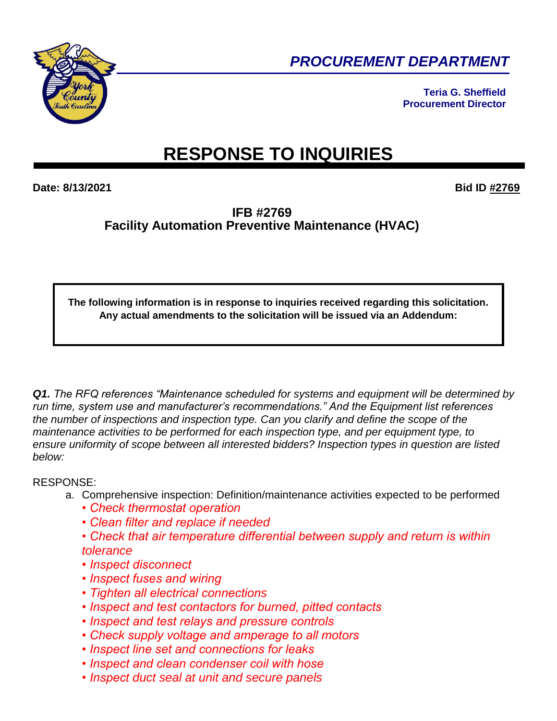

*PROCUREMENT DEPARTMENT* 

**Teria G. Sheffield Procurement Director**

# **RESPONSE TO INQUIRIES**

**Date: 8/13/2021 Bid ID #2769**

**IFB #2769 Facility Automation Preventive Maintenance (HVAC)**

**The following information is in response to inquiries received regarding this solicitation. Any actual amendments to the solicitation will be issued via an Addendum:**

*Q1. The RFQ references "Maintenance scheduled for systems and equipment will be determined by run time, system use and manufacturer's recommendations." And the Equipment list references the number of inspections and inspection type. Can you clarify and define the scope of the maintenance activities to be performed for each inspection type, and per equipment type, to ensure uniformity of scope between all interested bidders? Inspection types in question are listed below:*

## RESPONSE:

- a. Comprehensive inspection: Definition/maintenance activities expected to be performed
	- *Check thermostat operation*
	- *Clean filter and replace if needed*
	- *Check that air temperature differential between supply and return is within tolerance*
	- *Inspect disconnect*
	- *Inspect fuses and wiring*
	- *Tighten all electrical connections*
	- *Inspect and test contactors for burned, pitted contacts*
	- *Inspect and test relays and pressure controls*
	- *Check supply voltage and amperage to all motors*
	- *Inspect line set and connections for leaks*
	- *Inspect and clean condenser coil with hose*
	- *Inspect duct seal at unit and secure panels*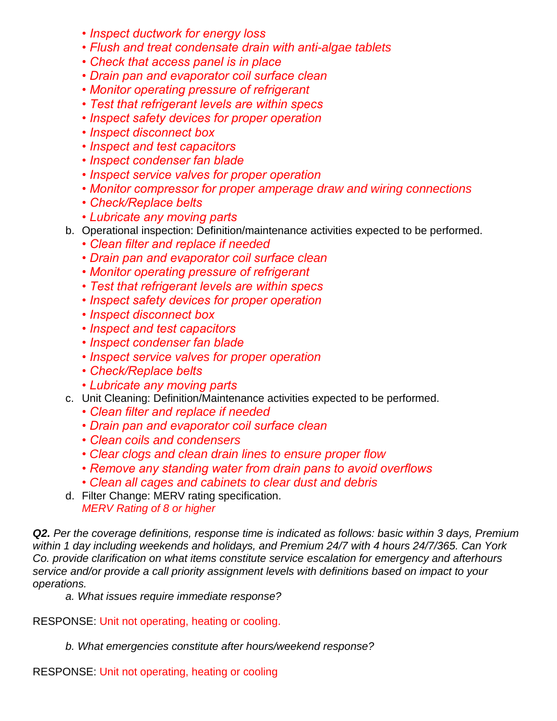- *Inspect ductwork for energy loss*
- *Flush and treat condensate drain with anti-algae tablets*
- *Check that access panel is in place*
- *Drain pan and evaporator coil surface clean*
- *Monitor operating pressure of refrigerant*
- *Test that refrigerant levels are within specs*
- *Inspect safety devices for proper operation*
- *Inspect disconnect box*
- *Inspect and test capacitors*
- *Inspect condenser fan blade*
- *Inspect service valves for proper operation*
- *Monitor compressor for proper amperage draw and wiring connections*
- *Check/Replace belts*
- *Lubricate any moving parts*
- b. Operational inspection: Definition/maintenance activities expected to be performed.
	- *Clean filter and replace if needed*
	- *Drain pan and evaporator coil surface clean*
	- *Monitor operating pressure of refrigerant*
	- *Test that refrigerant levels are within specs*
	- *Inspect safety devices for proper operation*
	- *Inspect disconnect box*
	- *Inspect and test capacitors*
	- *Inspect condenser fan blade*
	- *Inspect service valves for proper operation*
	- *Check/Replace belts*
	- *Lubricate any moving parts*
- c. Unit Cleaning: Definition/Maintenance activities expected to be performed.
	- *Clean filter and replace if needed*
	- *Drain pan and evaporator coil surface clean*
	- *Clean coils and condensers*
	- *Clear clogs and clean drain lines to ensure proper flow*
	- *Remove any standing water from drain pans to avoid overflows*
	- *Clean all cages and cabinets to clear dust and debris*
- d. Filter Change: MERV rating specification. *MERV Rating of 8 or higher*

*Q2. Per the coverage definitions, response time is indicated as follows: basic within 3 days, Premium within 1 day including weekends and holidays, and Premium 24/7 with 4 hours 24/7/365. Can York Co. provide clarification on what items constitute service escalation for emergency and afterhours service and/or provide a call priority assignment levels with definitions based on impact to your operations.*

*a. What issues require immediate response?* 

RESPONSE: Unit not operating, heating or cooling.

*b. What emergencies constitute after hours/weekend response?* 

RESPONSE: Unit not operating, heating or cooling